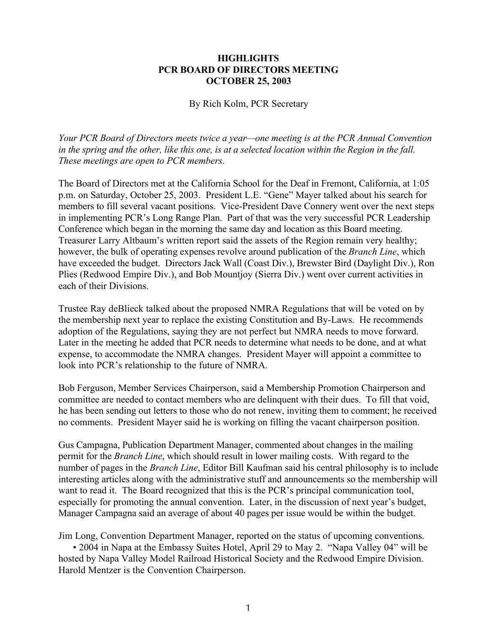## **HIGHLIGHTS PCR BOARD OF DIRECTORS MEETING OCTOBER 25, 2003**

By Rich Kolm, PCR Secretary

*Your PCR Board of Directors meets twice a year—one meeting is at the PCR Annual Convention in the spring and the other, like this one, is at a selected location within the Region in the fall. These meetings are open to PCR members.*

The Board of Directors met at the California School for the Deaf in Fremont, California, at 1:05 p.m. on Saturday, October 25, 2003. President L.E. "Gene" Mayer talked about his search for members to fill several vacant positions. Vice-President Dave Connery went over the next steps in implementing PCR's Long Range Plan. Part of that was the very successful PCR Leadership Conference which began in the morning the same day and location as this Board meeting. Treasurer Larry Altbaum's written report said the assets of the Region remain very healthy; however, the bulk of operating expenses revolve around publication of the *Branch Line*, which have exceeded the budget. Directors Jack Wall (Coast Div.), Brewster Bird (Daylight Div.), Ron Plies (Redwood Empire Div.), and Bob Mountjoy (Sierra Div.) went over current activities in each of their Divisions.

Trustee Ray deBlieck talked about the proposed NMRA Regulations that will be voted on by the membership next year to replace the existing Constitution and By-Laws. He recommends adoption of the Regulations, saying they are not perfect but NMRA needs to move forward. Later in the meeting he added that PCR needs to determine what needs to be done, and at what expense, to accommodate the NMRA changes. President Mayer will appoint a committee to look into PCR's relationship to the future of NMRA.

Bob Ferguson, Member Services Chairperson, said a Membership Promotion Chairperson and committee are needed to contact members who are delinquent with their dues. To fill that void, he has been sending out letters to those who do not renew, inviting them to comment; he received no comments. President Mayer said he is working on filling the vacant chairperson position.

Gus Campagna, Publication Department Manager, commented about changes in the mailing permit for the *Branch Line*, which should result in lower mailing costs. With regard to the number of pages in the *Branch Line*, Editor Bill Kaufman said his central philosophy is to include interesting articles along with the administrative stuff and announcements so the membership will want to read it. The Board recognized that this is the PCR's principal communication tool, especially for promoting the annual convention. Later, in the discussion of next year's budget, Manager Campagna said an average of about 40 pages per issue would be within the budget.

Jim Long, Convention Department Manager, reported on the status of upcoming conventions. • 2004 in Napa at the Embassy Suites Hotel, April 29 to May 2. "Napa Valley 04" will be hosted by Napa Valley Model Railroad Historical Society and the Redwood Empire Division. Harold Mentzer is the Convention Chairperson.